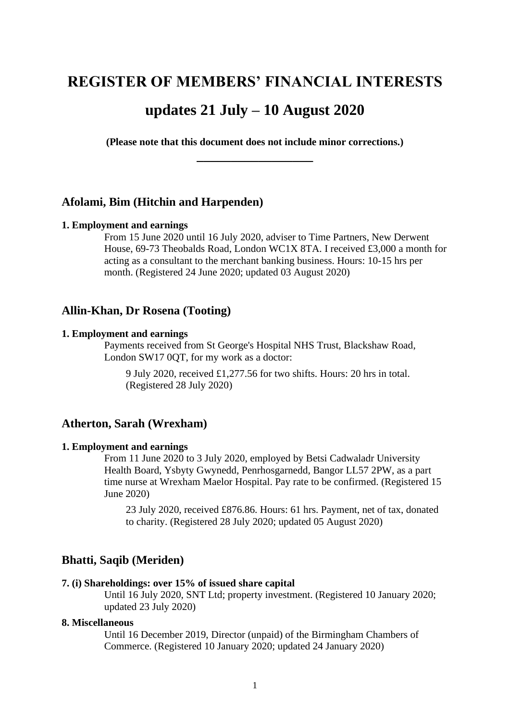# **REGISTER OF MEMBERS' FINANCIAL INTERESTS**

# **updates 21 July – 10 August 2020**

**(Please note that this document does not include minor corrections.) \_\_\_\_\_\_\_\_\_\_\_\_\_\_\_\_\_**

# **Afolami, Bim (Hitchin and Harpenden)**

#### **1. Employment and earnings**

From 15 June 2020 until 16 July 2020, adviser to Time Partners, New Derwent House, 69-73 Theobalds Road, London WC1X 8TA. I received £3,000 a month for acting as a consultant to the merchant banking business. Hours: 10-15 hrs per month. (Registered 24 June 2020; updated 03 August 2020)

### **Allin-Khan, Dr Rosena (Tooting)**

#### **1. Employment and earnings**

Payments received from St George's Hospital NHS Trust, Blackshaw Road, London SW17 0QT, for my work as a doctor:

9 July 2020, received £1,277.56 for two shifts. Hours: 20 hrs in total. (Registered 28 July 2020)

### **Atherton, Sarah (Wrexham)**

#### **1. Employment and earnings**

From 11 June 2020 to 3 July 2020, employed by Betsi Cadwaladr University Health Board, Ysbyty Gwynedd, Penrhosgarnedd, Bangor LL57 2PW, as a part time nurse at Wrexham Maelor Hospital. Pay rate to be confirmed. (Registered 15 June 2020)

23 July 2020, received £876.86. Hours: 61 hrs. Payment, net of tax, donated to charity. (Registered 28 July 2020; updated 05 August 2020)

# **Bhatti, Saqib (Meriden)**

#### **7. (i) Shareholdings: over 15% of issued share capital**

Until 16 July 2020, SNT Ltd; property investment. (Registered 10 January 2020; updated 23 July 2020)

### **8. Miscellaneous**

Until 16 December 2019, Director (unpaid) of the Birmingham Chambers of Commerce. (Registered 10 January 2020; updated 24 January 2020)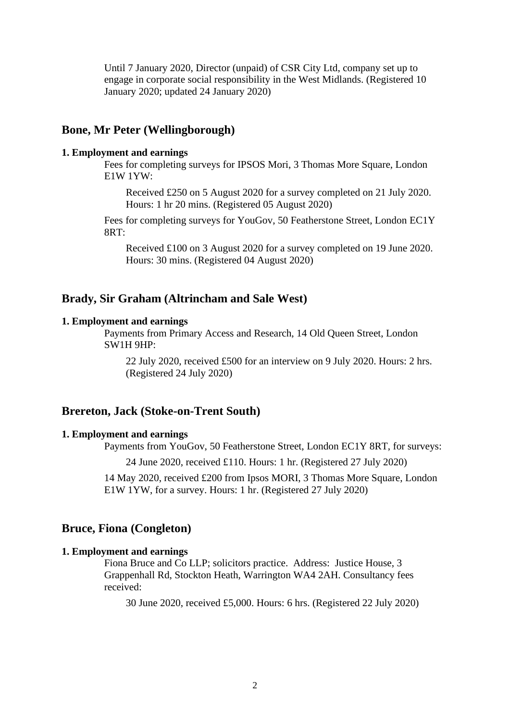Until 7 January 2020, Director (unpaid) of CSR City Ltd, company set up to engage in corporate social responsibility in the West Midlands. (Registered 10 January 2020; updated 24 January 2020)

### **Bone, Mr Peter (Wellingborough)**

#### **1. Employment and earnings**

Fees for completing surveys for IPSOS Mori, 3 Thomas More Square, London E1W 1YW:

Received £250 on 5 August 2020 for a survey completed on 21 July 2020. Hours: 1 hr 20 mins. (Registered 05 August 2020)

Fees for completing surveys for YouGov, 50 Featherstone Street, London EC1Y  $8RT$ :

Received £100 on 3 August 2020 for a survey completed on 19 June 2020. Hours: 30 mins. (Registered 04 August 2020)

# **Brady, Sir Graham (Altrincham and Sale West)**

#### **1. Employment and earnings**

Payments from Primary Access and Research, 14 Old Queen Street, London SW1H 9HP:

22 July 2020, received £500 for an interview on 9 July 2020. Hours: 2 hrs. (Registered 24 July 2020)

### **Brereton, Jack (Stoke-on-Trent South)**

#### **1. Employment and earnings**

Payments from YouGov, 50 Featherstone Street, London EC1Y 8RT, for surveys:

24 June 2020, received £110. Hours: 1 hr. (Registered 27 July 2020)

14 May 2020, received £200 from Ipsos MORI, 3 Thomas More Square, London E1W 1YW, for a survey. Hours: 1 hr. (Registered 27 July 2020)

# **Bruce, Fiona (Congleton)**

#### **1. Employment and earnings**

Fiona Bruce and Co LLP; solicitors practice. Address: Justice House, 3 Grappenhall Rd, Stockton Heath, Warrington WA4 2AH. Consultancy fees received:

30 June 2020, received £5,000. Hours: 6 hrs. (Registered 22 July 2020)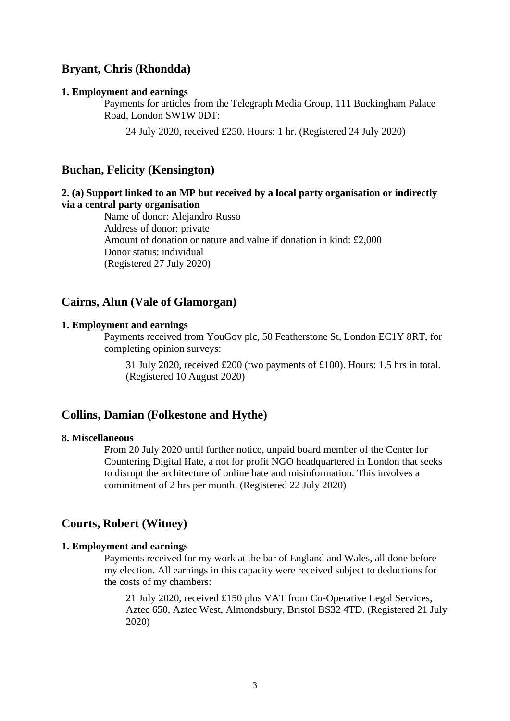# **Bryant, Chris (Rhondda)**

#### **1. Employment and earnings**

Payments for articles from the Telegraph Media Group, 111 Buckingham Palace Road, London SW1W 0DT:

24 July 2020, received £250. Hours: 1 hr. (Registered 24 July 2020)

### **Buchan, Felicity (Kensington)**

# **2. (a) Support linked to an MP but received by a local party organisation or indirectly via a central party organisation**

Name of donor: Alejandro Russo Address of donor: private Amount of donation or nature and value if donation in kind: £2,000 Donor status: individual (Registered 27 July 2020)

# **Cairns, Alun (Vale of Glamorgan)**

### **1. Employment and earnings**

Payments received from YouGov plc, 50 Featherstone St, London EC1Y 8RT, for completing opinion surveys:

31 July 2020, received £200 (two payments of £100). Hours: 1.5 hrs in total. (Registered 10 August 2020)

### **Collins, Damian (Folkestone and Hythe)**

#### **8. Miscellaneous**

From 20 July 2020 until further notice, unpaid board member of the Center for Countering Digital Hate, a not for profit NGO headquartered in London that seeks to disrupt the architecture of online hate and misinformation. This involves a commitment of 2 hrs per month. (Registered 22 July 2020)

### **Courts, Robert (Witney)**

#### **1. Employment and earnings**

Payments received for my work at the bar of England and Wales, all done before my election. All earnings in this capacity were received subject to deductions for the costs of my chambers:

21 July 2020, received £150 plus VAT from Co-Operative Legal Services, Aztec 650, Aztec West, Almondsbury, Bristol BS32 4TD. (Registered 21 July 2020)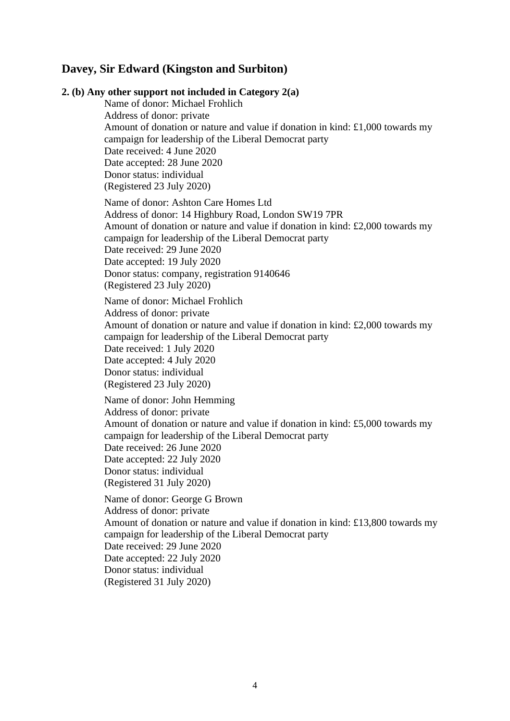# **Davey, Sir Edward (Kingston and Surbiton)**

**2. (b) Any other support not included in Category 2(a)** Name of donor: Michael Frohlich Address of donor: private Amount of donation or nature and value if donation in kind: £1,000 towards my campaign for leadership of the Liberal Democrat party Date received: 4 June 2020 Date accepted: 28 June 2020 Donor status: individual (Registered 23 July 2020) Name of donor: Ashton Care Homes Ltd Address of donor: 14 Highbury Road, London SW19 7PR Amount of donation or nature and value if donation in kind: £2,000 towards my campaign for leadership of the Liberal Democrat party Date received: 29 June 2020 Date accepted: 19 July 2020 Donor status: company, registration 9140646 (Registered 23 July 2020) Name of donor: Michael Frohlich Address of donor: private Amount of donation or nature and value if donation in kind: £2,000 towards my campaign for leadership of the Liberal Democrat party Date received: 1 July 2020 Date accepted: 4 July 2020 Donor status: individual (Registered 23 July 2020) Name of donor: John Hemming Address of donor: private Amount of donation or nature and value if donation in kind: £5,000 towards my campaign for leadership of the Liberal Democrat party Date received: 26 June 2020 Date accepted: 22 July 2020 Donor status: individual (Registered 31 July 2020) Name of donor: George G Brown Address of donor: private Amount of donation or nature and value if donation in kind: £13,800 towards my campaign for leadership of the Liberal Democrat party Date received: 29 June 2020 Date accepted: 22 July 2020 Donor status: individual (Registered 31 July 2020)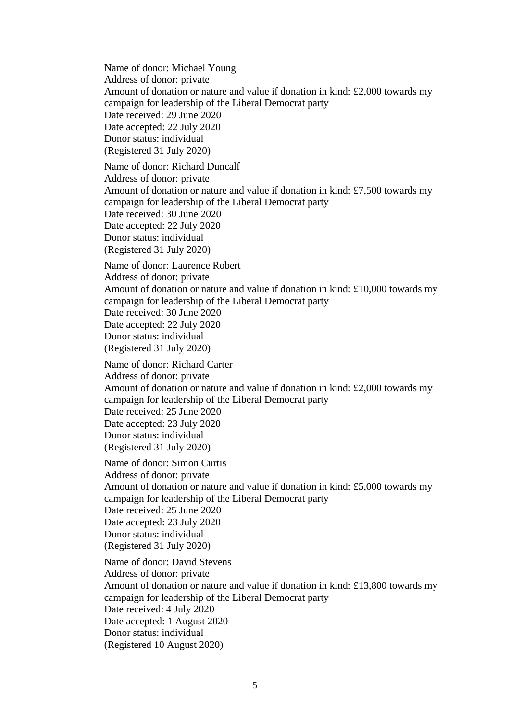Name of donor: Michael Young Address of donor: private Amount of donation or nature and value if donation in kind: £2,000 towards my campaign for leadership of the Liberal Democrat party Date received: 29 June 2020 Date accepted: 22 July 2020 Donor status: individual (Registered 31 July 2020) Name of donor: Richard Duncalf Address of donor: private Amount of donation or nature and value if donation in kind: £7,500 towards my campaign for leadership of the Liberal Democrat party Date received: 30 June 2020 Date accepted: 22 July 2020 Donor status: individual (Registered 31 July 2020) Name of donor: Laurence Robert Address of donor: private Amount of donation or nature and value if donation in kind: £10,000 towards my campaign for leadership of the Liberal Democrat party Date received: 30 June 2020 Date accepted: 22 July 2020 Donor status: individual (Registered 31 July 2020) Name of donor: Richard Carter Address of donor: private Amount of donation or nature and value if donation in kind: £2,000 towards my campaign for leadership of the Liberal Democrat party Date received: 25 June 2020 Date accepted: 23 July 2020 Donor status: individual (Registered 31 July 2020) Name of donor: Simon Curtis Address of donor: private Amount of donation or nature and value if donation in kind: £5,000 towards my campaign for leadership of the Liberal Democrat party Date received: 25 June 2020 Date accepted: 23 July 2020 Donor status: individual (Registered 31 July 2020) Name of donor: David Stevens Address of donor: private Amount of donation or nature and value if donation in kind: £13,800 towards my campaign for leadership of the Liberal Democrat party Date received: 4 July 2020 Date accepted: 1 August 2020 Donor status: individual (Registered 10 August 2020)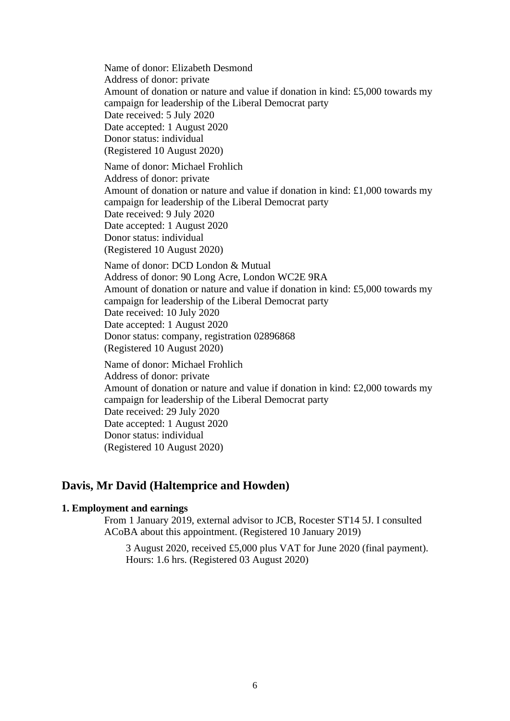Name of donor: Elizabeth Desmond Address of donor: private Amount of donation or nature and value if donation in kind: £5,000 towards my campaign for leadership of the Liberal Democrat party Date received: 5 July 2020 Date accepted: 1 August 2020 Donor status: individual (Registered 10 August 2020) Name of donor: Michael Frohlich Address of donor: private Amount of donation or nature and value if donation in kind: £1,000 towards my campaign for leadership of the Liberal Democrat party Date received: 9 July 2020 Date accepted: 1 August 2020 Donor status: individual (Registered 10 August 2020) Name of donor: DCD London & Mutual Address of donor: 90 Long Acre, London WC2E 9RA Amount of donation or nature and value if donation in kind: £5,000 towards my campaign for leadership of the Liberal Democrat party Date received: 10 July 2020 Date accepted: 1 August 2020 Donor status: company, registration 02896868 (Registered 10 August 2020) Name of donor: Michael Frohlich Address of donor: private Amount of donation or nature and value if donation in kind: £2,000 towards my campaign for leadership of the Liberal Democrat party Date received: 29 July 2020 Date accepted: 1 August 2020 Donor status: individual (Registered 10 August 2020)

# **Davis, Mr David (Haltemprice and Howden)**

### **1. Employment and earnings**

From 1 January 2019, external advisor to JCB, Rocester ST14 5J. I consulted ACoBA about this appointment. (Registered 10 January 2019)

3 August 2020, received £5,000 plus VAT for June 2020 (final payment). Hours: 1.6 hrs. (Registered 03 August 2020)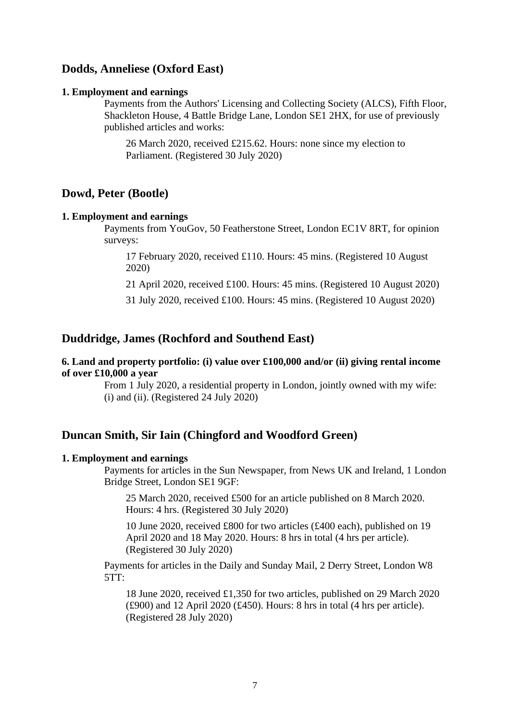# **Dodds, Anneliese (Oxford East)**

#### **1. Employment and earnings**

Payments from the Authors' Licensing and Collecting Society (ALCS), Fifth Floor, Shackleton House, 4 Battle Bridge Lane, London SE1 2HX, for use of previously published articles and works:

26 March 2020, received £215.62. Hours: none since my election to Parliament. (Registered 30 July 2020)

# **Dowd, Peter (Bootle)**

#### **1. Employment and earnings**

Payments from YouGov, 50 Featherstone Street, London EC1V 8RT, for opinion surveys:

17 February 2020, received £110. Hours: 45 mins. (Registered 10 August 2020)

21 April 2020, received £100. Hours: 45 mins. (Registered 10 August 2020)

31 July 2020, received £100. Hours: 45 mins. (Registered 10 August 2020)

### **Duddridge, James (Rochford and Southend East)**

**6. Land and property portfolio: (i) value over £100,000 and/or (ii) giving rental income of over £10,000 a year**

> From 1 July 2020, a residential property in London, jointly owned with my wife: (i) and (ii). (Registered 24 July 2020)

# **Duncan Smith, Sir Iain (Chingford and Woodford Green)**

### **1. Employment and earnings**

Payments for articles in the Sun Newspaper, from News UK and Ireland, 1 London Bridge Street, London SE1 9GF:

25 March 2020, received £500 for an article published on 8 March 2020. Hours: 4 hrs. (Registered 30 July 2020)

10 June 2020, received £800 for two articles (£400 each), published on 19 April 2020 and 18 May 2020. Hours: 8 hrs in total (4 hrs per article). (Registered 30 July 2020)

Payments for articles in the Daily and Sunday Mail, 2 Derry Street, London W8  $5TT$ :

18 June 2020, received £1,350 for two articles, published on 29 March 2020  $(£900)$  and 12 April 2020  $(£450)$ . Hours: 8 hrs in total  $(4 \text{ hrs per article})$ . (Registered 28 July 2020)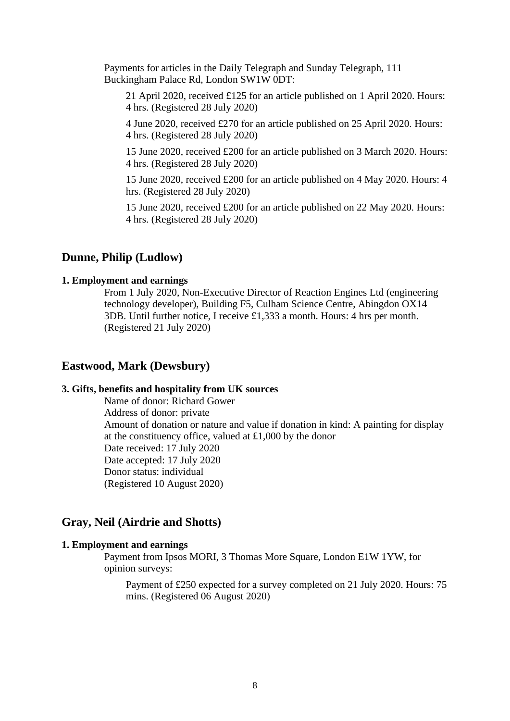Payments for articles in the Daily Telegraph and Sunday Telegraph, 111 Buckingham Palace Rd, London SW1W 0DT:

21 April 2020, received £125 for an article published on 1 April 2020. Hours: 4 hrs. (Registered 28 July 2020)

4 June 2020, received £270 for an article published on 25 April 2020. Hours: 4 hrs. (Registered 28 July 2020)

15 June 2020, received £200 for an article published on 3 March 2020. Hours: 4 hrs. (Registered 28 July 2020)

15 June 2020, received £200 for an article published on 4 May 2020. Hours: 4 hrs. (Registered 28 July 2020)

15 June 2020, received £200 for an article published on 22 May 2020. Hours: 4 hrs. (Registered 28 July 2020)

# **Dunne, Philip (Ludlow)**

#### **1. Employment and earnings**

From 1 July 2020, Non-Executive Director of Reaction Engines Ltd (engineering technology developer), Building F5, Culham Science Centre, Abingdon OX14 3DB. Until further notice, I receive £1,333 a month. Hours: 4 hrs per month. (Registered 21 July 2020)

### **Eastwood, Mark (Dewsbury)**

#### **3. Gifts, benefits and hospitality from UK sources**

Name of donor: Richard Gower Address of donor: private Amount of donation or nature and value if donation in kind: A painting for display at the constituency office, valued at £1,000 by the donor Date received: 17 July 2020 Date accepted: 17 July 2020 Donor status: individual (Registered 10 August 2020)

### **Gray, Neil (Airdrie and Shotts)**

#### **1. Employment and earnings**

Payment from Ipsos MORI, 3 Thomas More Square, London E1W 1YW, for opinion surveys:

Payment of £250 expected for a survey completed on 21 July 2020. Hours: 75 mins. (Registered 06 August 2020)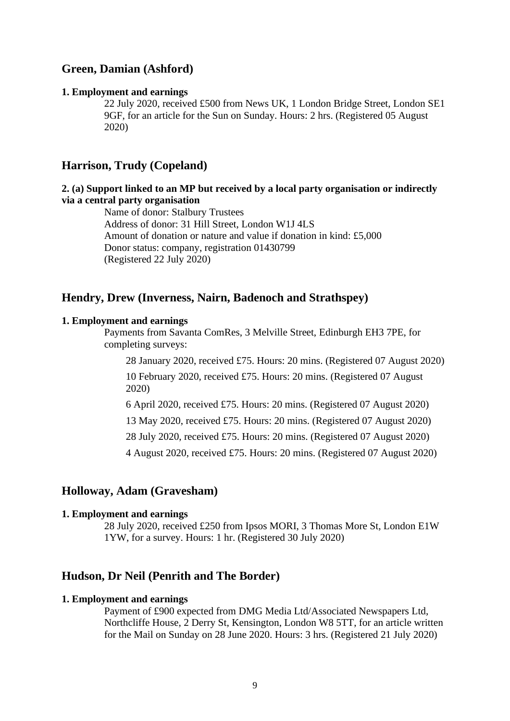# **Green, Damian (Ashford)**

#### **1. Employment and earnings**

22 July 2020, received £500 from News UK, 1 London Bridge Street, London SE1 9GF, for an article for the Sun on Sunday. Hours: 2 hrs. (Registered 05 August 2020)

# **Harrison, Trudy (Copeland)**

### **2. (a) Support linked to an MP but received by a local party organisation or indirectly via a central party organisation**

Name of donor: Stalbury Trustees Address of donor: 31 Hill Street, London W1J 4LS Amount of donation or nature and value if donation in kind: £5,000 Donor status: company, registration 01430799 (Registered 22 July 2020)

# **Hendry, Drew (Inverness, Nairn, Badenoch and Strathspey)**

#### **1. Employment and earnings**

Payments from Savanta ComRes, 3 Melville Street, Edinburgh EH3 7PE, for completing surveys:

28 January 2020, received £75. Hours: 20 mins. (Registered 07 August 2020) 10 February 2020, received £75. Hours: 20 mins. (Registered 07 August 2020)

6 April 2020, received £75. Hours: 20 mins. (Registered 07 August 2020)

13 May 2020, received £75. Hours: 20 mins. (Registered 07 August 2020)

28 July 2020, received £75. Hours: 20 mins. (Registered 07 August 2020)

4 August 2020, received £75. Hours: 20 mins. (Registered 07 August 2020)

# **Holloway, Adam (Gravesham)**

#### **1. Employment and earnings**

28 July 2020, received £250 from Ipsos MORI, 3 Thomas More St, London E1W 1YW, for a survey. Hours: 1 hr. (Registered 30 July 2020)

# **Hudson, Dr Neil (Penrith and The Border)**

#### **1. Employment and earnings**

Payment of £900 expected from DMG Media Ltd/Associated Newspapers Ltd, Northcliffe House, 2 Derry St, Kensington, London W8 5TT, for an article written for the Mail on Sunday on 28 June 2020. Hours: 3 hrs. (Registered 21 July 2020)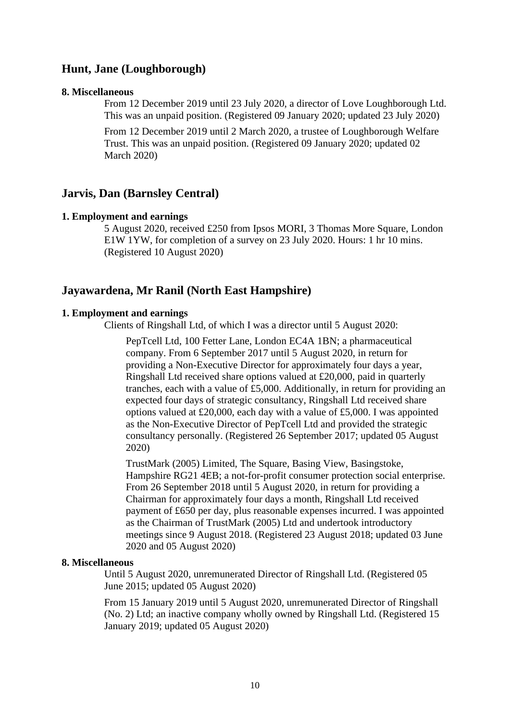# **Hunt, Jane (Loughborough)**

#### **8. Miscellaneous**

From 12 December 2019 until 23 July 2020, a director of Love Loughborough Ltd. This was an unpaid position. (Registered 09 January 2020; updated 23 July 2020)

From 12 December 2019 until 2 March 2020, a trustee of Loughborough Welfare Trust. This was an unpaid position. (Registered 09 January 2020; updated 02 March 2020)

### **Jarvis, Dan (Barnsley Central)**

#### **1. Employment and earnings**

5 August 2020, received £250 from Ipsos MORI, 3 Thomas More Square, London E1W 1YW, for completion of a survey on 23 July 2020. Hours: 1 hr 10 mins. (Registered 10 August 2020)

### **Jayawardena, Mr Ranil (North East Hampshire)**

#### **1. Employment and earnings**

Clients of Ringshall Ltd, of which I was a director until 5 August 2020:

PepTcell Ltd, 100 Fetter Lane, London EC4A 1BN; a pharmaceutical company. From 6 September 2017 until 5 August 2020, in return for providing a Non-Executive Director for approximately four days a year, Ringshall Ltd received share options valued at £20,000, paid in quarterly tranches, each with a value of £5,000. Additionally, in return for providing an expected four days of strategic consultancy, Ringshall Ltd received share options valued at £20,000, each day with a value of £5,000. I was appointed as the Non-Executive Director of PepTcell Ltd and provided the strategic consultancy personally. (Registered 26 September 2017; updated 05 August 2020)

TrustMark (2005) Limited, The Square, Basing View, Basingstoke, Hampshire RG21 4EB; a not-for-profit consumer protection social enterprise. From 26 September 2018 until 5 August 2020, in return for providing a Chairman for approximately four days a month, Ringshall Ltd received payment of £650 per day, plus reasonable expenses incurred. I was appointed as the Chairman of TrustMark (2005) Ltd and undertook introductory meetings since 9 August 2018. (Registered 23 August 2018; updated 03 June 2020 and 05 August 2020)

#### **8. Miscellaneous**

Until 5 August 2020, unremunerated Director of Ringshall Ltd. (Registered 05 June 2015; updated 05 August 2020)

From 15 January 2019 until 5 August 2020, unremunerated Director of Ringshall (No. 2) Ltd; an inactive company wholly owned by Ringshall Ltd. (Registered 15 January 2019; updated 05 August 2020)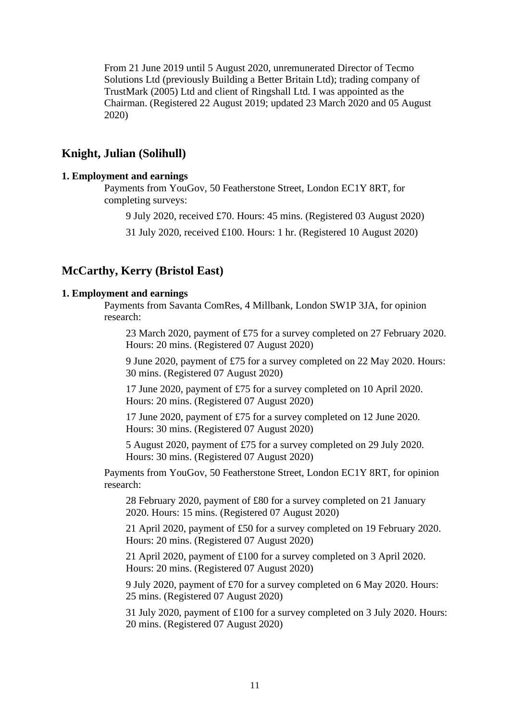From 21 June 2019 until 5 August 2020, unremunerated Director of Tecmo Solutions Ltd (previously Building a Better Britain Ltd); trading company of TrustMark (2005) Ltd and client of Ringshall Ltd. I was appointed as the Chairman. (Registered 22 August 2019; updated 23 March 2020 and 05 August 2020)

# **Knight, Julian (Solihull)**

### **1. Employment and earnings**

Payments from YouGov, 50 Featherstone Street, London EC1Y 8RT, for completing surveys:

9 July 2020, received £70. Hours: 45 mins. (Registered 03 August 2020)

31 July 2020, received £100. Hours: 1 hr. (Registered 10 August 2020)

# **McCarthy, Kerry (Bristol East)**

#### **1. Employment and earnings**

Payments from Savanta ComRes, 4 Millbank, London SW1P 3JA, for opinion research:

23 March 2020, payment of £75 for a survey completed on 27 February 2020. Hours: 20 mins. (Registered 07 August 2020)

9 June 2020, payment of £75 for a survey completed on 22 May 2020. Hours: 30 mins. (Registered 07 August 2020)

17 June 2020, payment of £75 for a survey completed on 10 April 2020. Hours: 20 mins. (Registered 07 August 2020)

17 June 2020, payment of £75 for a survey completed on 12 June 2020. Hours: 30 mins. (Registered 07 August 2020)

5 August 2020, payment of £75 for a survey completed on 29 July 2020. Hours: 30 mins. (Registered 07 August 2020)

Payments from YouGov, 50 Featherstone Street, London EC1Y 8RT, for opinion research:

28 February 2020, payment of £80 for a survey completed on 21 January 2020. Hours: 15 mins. (Registered 07 August 2020)

21 April 2020, payment of £50 for a survey completed on 19 February 2020. Hours: 20 mins. (Registered 07 August 2020)

21 April 2020, payment of £100 for a survey completed on 3 April 2020. Hours: 20 mins. (Registered 07 August 2020)

9 July 2020, payment of £70 for a survey completed on 6 May 2020. Hours: 25 mins. (Registered 07 August 2020)

31 July 2020, payment of £100 for a survey completed on 3 July 2020. Hours: 20 mins. (Registered 07 August 2020)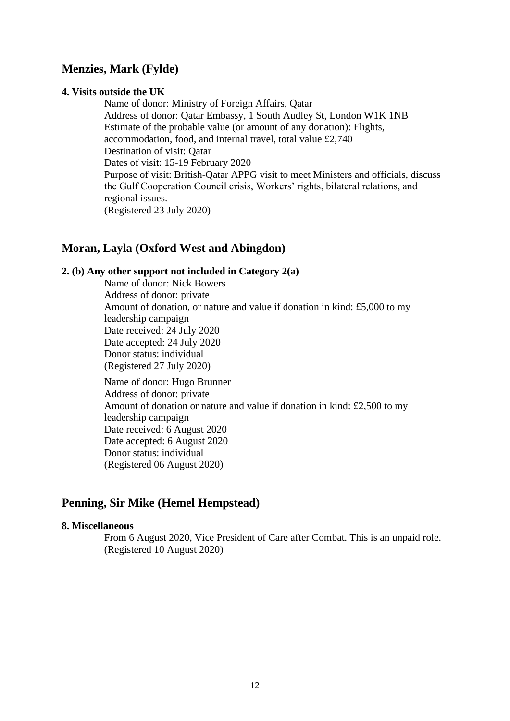# **Menzies, Mark (Fylde)**

#### **4. Visits outside the UK**

Name of donor: Ministry of Foreign Affairs, Qatar Address of donor: Qatar Embassy, 1 South Audley St, London W1K 1NB Estimate of the probable value (or amount of any donation): Flights, accommodation, food, and internal travel, total value £2,740 Destination of visit: Qatar Dates of visit: 15-19 February 2020 Purpose of visit: British-Qatar APPG visit to meet Ministers and officials, discuss the Gulf Cooperation Council crisis, Workers' rights, bilateral relations, and regional issues. (Registered 23 July 2020)

# **Moran, Layla (Oxford West and Abingdon)**

### **2. (b) Any other support not included in Category 2(a)**

Name of donor: Nick Bowers Address of donor: private Amount of donation, or nature and value if donation in kind: £5,000 to my leadership campaign Date received: 24 July 2020 Date accepted: 24 July 2020 Donor status: individual (Registered 27 July 2020)

Name of donor: Hugo Brunner Address of donor: private Amount of donation or nature and value if donation in kind: £2,500 to my leadership campaign Date received: 6 August 2020 Date accepted: 6 August 2020 Donor status: individual (Registered 06 August 2020)

# **Penning, Sir Mike (Hemel Hempstead)**

#### **8. Miscellaneous**

From 6 August 2020, Vice President of Care after Combat. This is an unpaid role. (Registered 10 August 2020)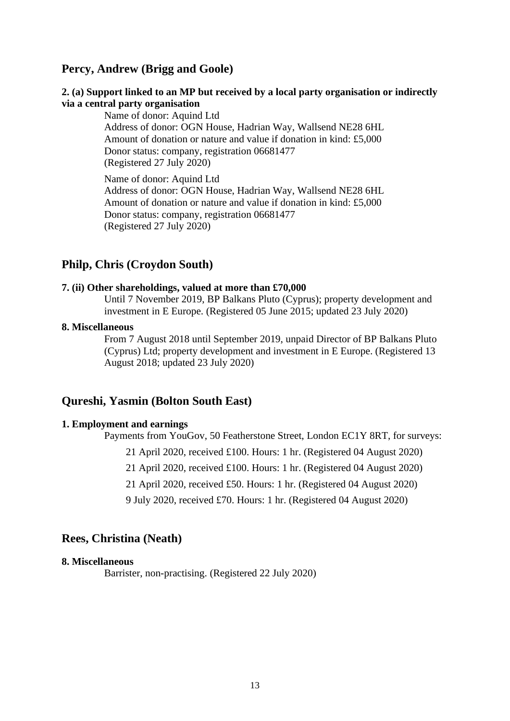# **Percy, Andrew (Brigg and Goole)**

#### **2. (a) Support linked to an MP but received by a local party organisation or indirectly via a central party organisation**

Name of donor: Aquind Ltd Address of donor: OGN House, Hadrian Way, Wallsend NE28 6HL Amount of donation or nature and value if donation in kind: £5,000 Donor status: company, registration 06681477 (Registered 27 July 2020)

Name of donor: Aquind Ltd Address of donor: OGN House, Hadrian Way, Wallsend NE28 6HL Amount of donation or nature and value if donation in kind: £5,000 Donor status: company, registration 06681477 (Registered 27 July 2020)

# **Philp, Chris (Croydon South)**

### **7. (ii) Other shareholdings, valued at more than £70,000**

Until 7 November 2019, BP Balkans Pluto (Cyprus); property development and investment in E Europe. (Registered 05 June 2015; updated 23 July 2020)

#### **8. Miscellaneous**

From 7 August 2018 until September 2019, unpaid Director of BP Balkans Pluto (Cyprus) Ltd; property development and investment in E Europe. (Registered 13 August 2018; updated 23 July 2020)

### **Qureshi, Yasmin (Bolton South East)**

#### **1. Employment and earnings**

Payments from YouGov, 50 Featherstone Street, London EC1Y 8RT, for surveys:

21 April 2020, received £100. Hours: 1 hr. (Registered 04 August 2020)

21 April 2020, received £100. Hours: 1 hr. (Registered 04 August 2020)

21 April 2020, received £50. Hours: 1 hr. (Registered 04 August 2020)

9 July 2020, received £70. Hours: 1 hr. (Registered 04 August 2020)

### **Rees, Christina (Neath)**

# **8. Miscellaneous**

Barrister, non-practising. (Registered 22 July 2020)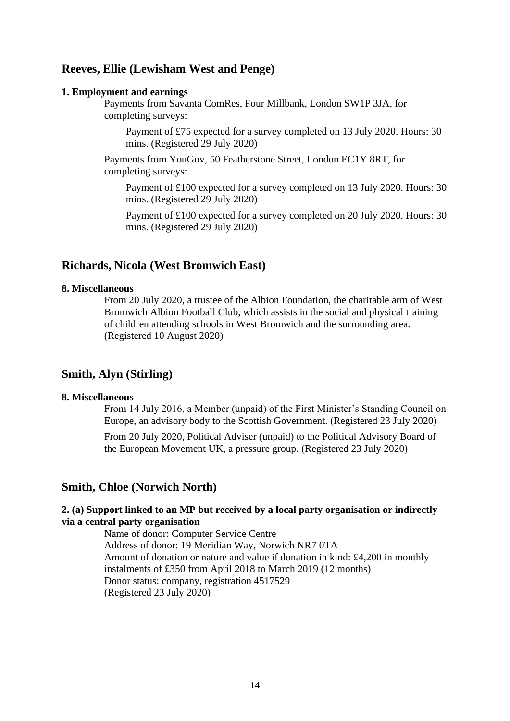# **Reeves, Ellie (Lewisham West and Penge)**

#### **1. Employment and earnings**

Payments from Savanta ComRes, Four Millbank, London SW1P 3JA, for completing surveys:

Payment of £75 expected for a survey completed on 13 July 2020. Hours: 30 mins. (Registered 29 July 2020)

Payments from YouGov, 50 Featherstone Street, London EC1Y 8RT, for completing surveys:

Payment of £100 expected for a survey completed on 13 July 2020. Hours: 30 mins. (Registered 29 July 2020)

Payment of £100 expected for a survey completed on 20 July 2020. Hours: 30 mins. (Registered 29 July 2020)

### **Richards, Nicola (West Bromwich East)**

#### **8. Miscellaneous**

From 20 July 2020, a trustee of the Albion Foundation, the charitable arm of West Bromwich Albion Football Club, which assists in the social and physical training of children attending schools in West Bromwich and the surrounding area. (Registered 10 August 2020)

# **Smith, Alyn (Stirling)**

#### **8. Miscellaneous**

From 14 July 2016, a Member (unpaid) of the First Minister's Standing Council on Europe, an advisory body to the Scottish Government. (Registered 23 July 2020)

From 20 July 2020, Political Adviser (unpaid) to the Political Advisory Board of the European Movement UK, a pressure group. (Registered 23 July 2020)

# **Smith, Chloe (Norwich North)**

### **2. (a) Support linked to an MP but received by a local party organisation or indirectly via a central party organisation**

Name of donor: Computer Service Centre Address of donor: 19 Meridian Way, Norwich NR7 0TA Amount of donation or nature and value if donation in kind: £4,200 in monthly instalments of £350 from April 2018 to March 2019 (12 months) Donor status: company, registration 4517529 (Registered 23 July 2020)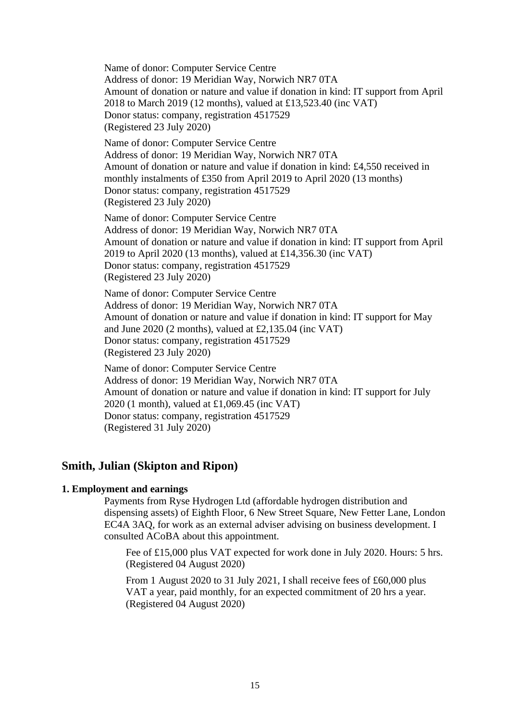Name of donor: Computer Service Centre Address of donor: 19 Meridian Way, Norwich NR7 0TA Amount of donation or nature and value if donation in kind: IT support from April 2018 to March 2019 (12 months), valued at £13,523.40 (inc VAT) Donor status: company, registration 4517529 (Registered 23 July 2020) Name of donor: Computer Service Centre Address of donor: 19 Meridian Way, Norwich NR7 0TA Amount of donation or nature and value if donation in kind: £4,550 received in monthly instalments of £350 from April 2019 to April 2020 (13 months) Donor status: company, registration 4517529 (Registered 23 July 2020) Name of donor: Computer Service Centre Address of donor: 19 Meridian Way, Norwich NR7 0TA Amount of donation or nature and value if donation in kind: IT support from April 2019 to April 2020 (13 months), valued at £14,356.30 (inc VAT) Donor status: company, registration 4517529 (Registered 23 July 2020) Name of donor: Computer Service Centre Address of donor: 19 Meridian Way, Norwich NR7 0TA

Amount of donation or nature and value if donation in kind: IT support for May and June 2020 (2 months), valued at £2,135.04 (inc VAT) Donor status: company, registration 4517529

(Registered 23 July 2020)

Name of donor: Computer Service Centre Address of donor: 19 Meridian Way, Norwich NR7 0TA Amount of donation or nature and value if donation in kind: IT support for July 2020 (1 month), valued at £1,069.45 (inc VAT) Donor status: company, registration 4517529 (Registered 31 July 2020)

# **Smith, Julian (Skipton and Ripon)**

# **1. Employment and earnings**

Payments from Ryse Hydrogen Ltd (affordable hydrogen distribution and dispensing assets) of Eighth Floor, 6 New Street Square, New Fetter Lane, London EC4A 3AQ, for work as an external adviser advising on business development. I consulted ACoBA about this appointment.

Fee of £15,000 plus VAT expected for work done in July 2020. Hours: 5 hrs. (Registered 04 August 2020)

From 1 August 2020 to 31 July 2021, I shall receive fees of £60,000 plus VAT a year, paid monthly, for an expected commitment of 20 hrs a year. (Registered 04 August 2020)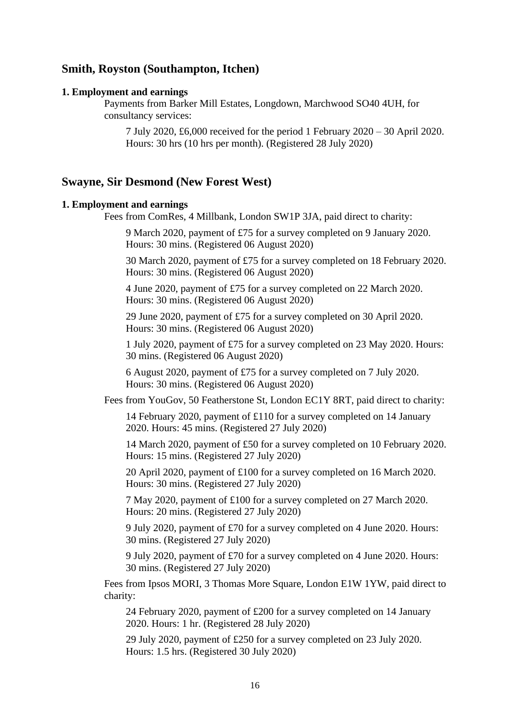# **Smith, Royston (Southampton, Itchen)**

#### **1. Employment and earnings**

Payments from Barker Mill Estates, Longdown, Marchwood SO40 4UH, for consultancy services:

7 July 2020, £6,000 received for the period 1 February 2020 – 30 April 2020. Hours: 30 hrs (10 hrs per month). (Registered 28 July 2020)

### **Swayne, Sir Desmond (New Forest West)**

#### **1. Employment and earnings**

Fees from ComRes, 4 Millbank, London SW1P 3JA, paid direct to charity:

9 March 2020, payment of £75 for a survey completed on 9 January 2020. Hours: 30 mins. (Registered 06 August 2020)

30 March 2020, payment of £75 for a survey completed on 18 February 2020. Hours: 30 mins. (Registered 06 August 2020)

4 June 2020, payment of £75 for a survey completed on 22 March 2020. Hours: 30 mins. (Registered 06 August 2020)

29 June 2020, payment of £75 for a survey completed on 30 April 2020. Hours: 30 mins. (Registered 06 August 2020)

1 July 2020, payment of £75 for a survey completed on 23 May 2020. Hours: 30 mins. (Registered 06 August 2020)

6 August 2020, payment of £75 for a survey completed on 7 July 2020. Hours: 30 mins. (Registered 06 August 2020)

Fees from YouGov, 50 Featherstone St, London EC1Y 8RT, paid direct to charity:

14 February 2020, payment of £110 for a survey completed on 14 January 2020. Hours: 45 mins. (Registered 27 July 2020)

14 March 2020, payment of £50 for a survey completed on 10 February 2020. Hours: 15 mins. (Registered 27 July 2020)

20 April 2020, payment of £100 for a survey completed on 16 March 2020. Hours: 30 mins. (Registered 27 July 2020)

7 May 2020, payment of £100 for a survey completed on 27 March 2020. Hours: 20 mins. (Registered 27 July 2020)

9 July 2020, payment of £70 for a survey completed on 4 June 2020. Hours: 30 mins. (Registered 27 July 2020)

9 July 2020, payment of £70 for a survey completed on 4 June 2020. Hours: 30 mins. (Registered 27 July 2020)

Fees from Ipsos MORI, 3 Thomas More Square, London E1W 1YW, paid direct to charity:

24 February 2020, payment of £200 for a survey completed on 14 January 2020. Hours: 1 hr. (Registered 28 July 2020)

29 July 2020, payment of £250 for a survey completed on 23 July 2020. Hours: 1.5 hrs. (Registered 30 July 2020)